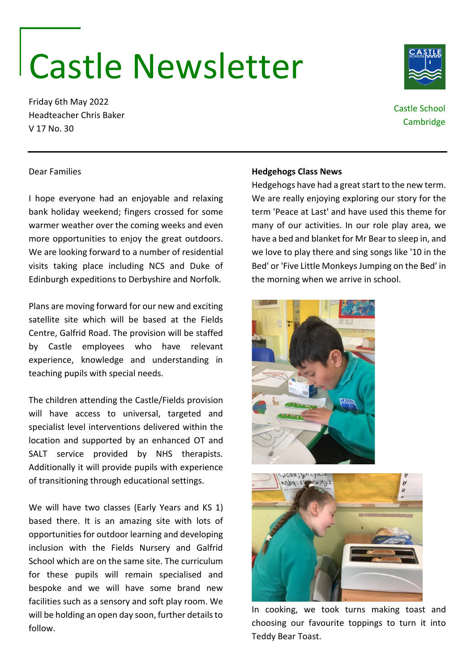## Castle Newsletter

Friday 6th May 2022 Headteacher Chris Baker V 17 No. 30

Dear Families

## **Hedgehogs Class News**

Hedgehogs have had a great start to the new term. We are really enjoying exploring our story for the term 'Peace at Last' and have used this theme for many of our activities. In our role play area, we have a bed and blanket for Mr Bear to sleep in, and we love to play there and sing songs like '10 in the Bed' or 'Five Little Monkeys Jumping on the Bed' in the morning when we arrive in school.

Plans are moving forward for our new and exciting satellite site which will be based at the Fields Centre, Galfrid Road. The provision will be staffed by Castle employees who have relevant experience, knowledge and understanding in teaching pupils with special needs.

I hope everyone had an enjoyable and relaxing bank holiday weekend; fingers crossed for some warmer weather over the coming weeks and even more opportunities to enjoy the great outdoors. We are looking forward to a number of residential visits taking place including NCS and Duke of Edinburgh expeditions to Derbyshire and Norfolk.

The children attending the Castle/Fields provision will have access to universal, targeted and specialist level interventions delivered within the location and supported by an enhanced OT and SALT service provided by NHS therapists. Additionally it will provide pupils with experience of transitioning through educational settings.

We will have two classes (Early Years and KS 1) based there. It is an amazing site with lots of opportunities for outdoor learning and developing inclusion with the Fields Nursery and Galfrid School which are on the same site. The curriculum for these pupils will remain specialised and bespoke and we will have some brand new facilities such as a sensory and soft play room. We will be holding an open day soon, further details to follow.

In cooking, we took turns making toast and choosing our favourite toppings to turn it into Teddy Bear Toast.







Castle School **Cambridge**